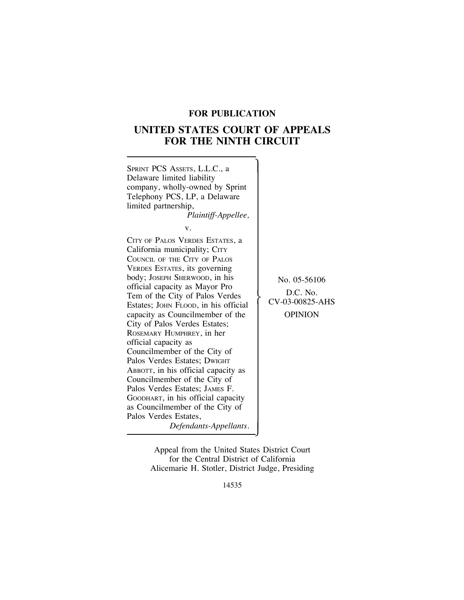# **FOR PUBLICATION**

# **UNITED STATES COURT OF APPEALS FOR THE NINTH CIRCUIT**



Appeal from the United States District Court for the Central District of California Alicemarie H. Stotler, District Judge, Presiding

14535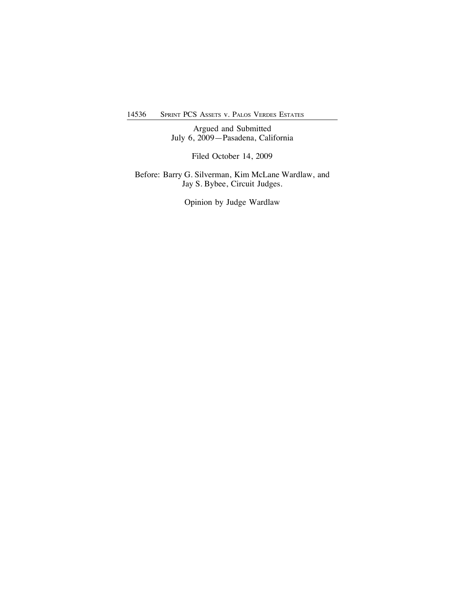14536 SPRINT PCS ASSETS v. PALOS VERDES ESTATES

Argued and Submitted July 6, 2009—Pasadena, California

Filed October 14, 2009

Before: Barry G. Silverman, Kim McLane Wardlaw, and Jay S. Bybee, Circuit Judges.

Opinion by Judge Wardlaw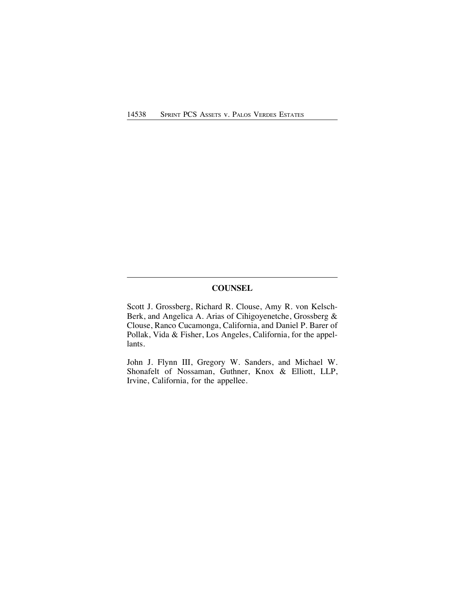# **COUNSEL**

Scott J. Grossberg, Richard R. Clouse, Amy R. von Kelsch-Berk, and Angelica A. Arias of Cihigoyenetche, Grossberg & Clouse, Ranco Cucamonga, California, and Daniel P. Barer of Pollak, Vida & Fisher, Los Angeles, California, for the appellants.

John J. Flynn III, Gregory W. Sanders, and Michael W. Shonafelt of Nossaman, Guthner, Knox & Elliott, LLP, Irvine, California, for the appellee.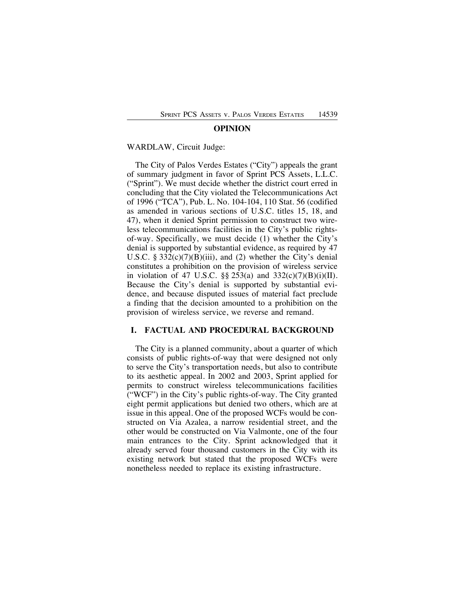#### **OPINION**

#### WARDLAW, Circuit Judge:

The City of Palos Verdes Estates ("City") appeals the grant of summary judgment in favor of Sprint PCS Assets, L.L.C. ("Sprint"). We must decide whether the district court erred in concluding that the City violated the Telecommunications Act of 1996 ("TCA"), Pub. L. No. 104-104, 110 Stat. 56 (codified as amended in various sections of U.S.C. titles 15, 18, and 47), when it denied Sprint permission to construct two wireless telecommunications facilities in the City's public rightsof-way. Specifically, we must decide (1) whether the City's denial is supported by substantial evidence, as required by 47 U.S.C.  $\S 332(c)(7)(B)(iii)$ , and (2) whether the City's denial constitutes a prohibition on the provision of wireless service in violation of 47 U.S.C.  $\S$ § 253(a) and 332(c)(7)(B)(i)(II). Because the City's denial is supported by substantial evidence, and because disputed issues of material fact preclude a finding that the decision amounted to a prohibition on the provision of wireless service, we reverse and remand.

### **I. FACTUAL AND PROCEDURAL BACKGROUND**

The City is a planned community, about a quarter of which consists of public rights-of-way that were designed not only to serve the City's transportation needs, but also to contribute to its aesthetic appeal. In 2002 and 2003, Sprint applied for permits to construct wireless telecommunications facilities ("WCF") in the City's public rights-of-way. The City granted eight permit applications but denied two others, which are at issue in this appeal. One of the proposed WCFs would be constructed on Via Azalea, a narrow residential street, and the other would be constructed on Via Valmonte, one of the four main entrances to the City. Sprint acknowledged that it already served four thousand customers in the City with its existing network but stated that the proposed WCFs were nonetheless needed to replace its existing infrastructure.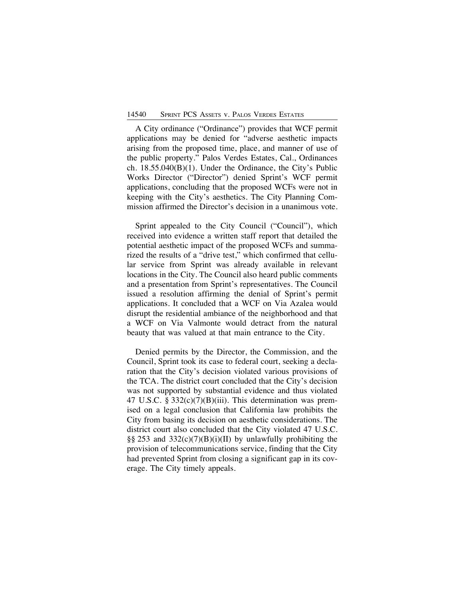A City ordinance ("Ordinance") provides that WCF permit applications may be denied for "adverse aesthetic impacts arising from the proposed time, place, and manner of use of the public property." Palos Verdes Estates, Cal., Ordinances ch. 18.55.040(B)(1). Under the Ordinance, the City's Public Works Director ("Director") denied Sprint's WCF permit applications, concluding that the proposed WCFs were not in keeping with the City's aesthetics. The City Planning Commission affirmed the Director's decision in a unanimous vote.

Sprint appealed to the City Council ("Council"), which received into evidence a written staff report that detailed the potential aesthetic impact of the proposed WCFs and summarized the results of a "drive test," which confirmed that cellular service from Sprint was already available in relevant locations in the City. The Council also heard public comments and a presentation from Sprint's representatives. The Council issued a resolution affirming the denial of Sprint's permit applications. It concluded that a WCF on Via Azalea would disrupt the residential ambiance of the neighborhood and that a WCF on Via Valmonte would detract from the natural beauty that was valued at that main entrance to the City.

Denied permits by the Director, the Commission, and the Council, Sprint took its case to federal court, seeking a declaration that the City's decision violated various provisions of the TCA. The district court concluded that the City's decision was not supported by substantial evidence and thus violated 47 U.S.C. § 332(c)(7)(B)(iii). This determination was premised on a legal conclusion that California law prohibits the City from basing its decision on aesthetic considerations. The district court also concluded that the City violated 47 U.S.C. §§ 253 and  $332(c)(7)(B)(i)(II)$  by unlawfully prohibiting the provision of telecommunications service, finding that the City had prevented Sprint from closing a significant gap in its coverage. The City timely appeals.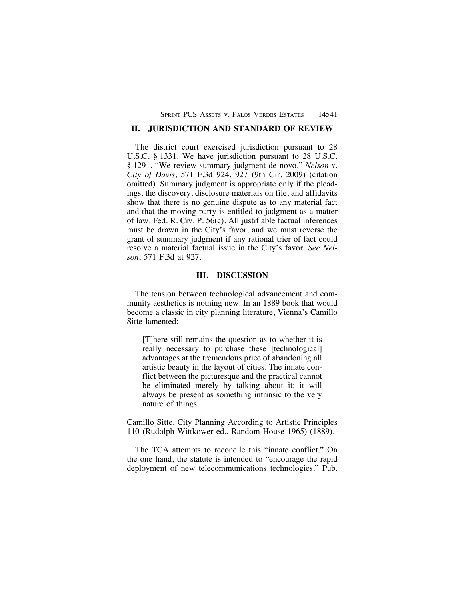# **II. JURISDICTION AND STANDARD OF REVIEW**

The district court exercised jurisdiction pursuant to 28 U.S.C. § 1331. We have jurisdiction pursuant to 28 U.S.C. § 1291. "We review summary judgment de novo." *Nelson v. City of Davis*, 571 F.3d 924, 927 (9th Cir. 2009) (citation omitted). Summary judgment is appropriate only if the pleadings, the discovery, disclosure materials on file, and affidavits show that there is no genuine dispute as to any material fact and that the moving party is entitled to judgment as a matter of law. Fed. R. Civ. P. 56(c). All justifiable factual inferences must be drawn in the City's favor, and we must reverse the grant of summary judgment if any rational trier of fact could resolve a material factual issue in the City's favor. *See Nelson*, 571 F.3d at 927.

# **III. DISCUSSION**

The tension between technological advancement and community aesthetics is nothing new. In an 1889 book that would become a classic in city planning literature, Vienna's Camillo Sitte lamented:

[T]here still remains the question as to whether it is really necessary to purchase these [technological] advantages at the tremendous price of abandoning all artistic beauty in the layout of cities. The innate conflict between the picturesque and the practical cannot be eliminated merely by talking about it; it will always be present as something intrinsic to the very nature of things.

Camillo Sitte, City Planning According to Artistic Principles 110 (Rudolph Wittkower ed., Random House 1965) (1889).

The TCA attempts to reconcile this "innate conflict." On the one hand, the statute is intended to "encourage the rapid deployment of new telecommunications technologies." Pub.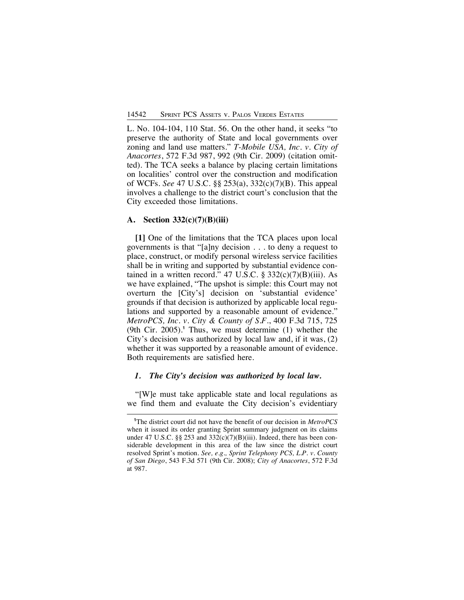L. No. 104-104, 110 Stat. 56. On the other hand, it seeks "to preserve the authority of State and local governments over zoning and land use matters." *T-Mobile USA, Inc. v. City of Anacortes*, 572 F.3d 987, 992 (9th Cir. 2009) (citation omitted). The TCA seeks a balance by placing certain limitations on localities' control over the construction and modification of WCFs. *See* 47 U.S.C. §§ 253(a), 332(c)(7)(B). This appeal involves a challenge to the district court's conclusion that the City exceeded those limitations.

### **A. Section 332(c)(7)(B)(iii)**

**[1]** One of the limitations that the TCA places upon local governments is that "[a]ny decision . . . to deny a request to place, construct, or modify personal wireless service facilities shall be in writing and supported by substantial evidence contained in a written record." 47 U.S.C. §  $332(c)(7)(B)(iii)$ . As we have explained, "The upshot is simple: this Court may not overturn the [City's] decision on 'substantial evidence' grounds if that decision is authorized by applicable local regulations and supported by a reasonable amount of evidence." *MetroPCS, Inc. v. City & County of S.F.*, 400 F.3d 715, 725 (9th Cir. 2005).**<sup>1</sup>** Thus, we must determine (1) whether the City's decision was authorized by local law and, if it was, (2) whether it was supported by a reasonable amount of evidence. Both requirements are satisfied here.

#### *1. The City's decision was authorized by local law.*

"[W]e must take applicable state and local regulations as we find them and evaluate the City decision's evidentiary

**<sup>1</sup>** The district court did not have the benefit of our decision in *MetroPCS* when it issued its order granting Sprint summary judgment on its claims under 47 U.S.C. §§ 253 and  $332(c)(7)(B)(iii)$ . Indeed, there has been considerable development in this area of the law since the district court resolved Sprint's motion. *See, e.g., Sprint Telephony PCS, L.P. v. County of San Diego*, 543 F.3d 571 (9th Cir. 2008); *City of Anacortes*, 572 F.3d at 987.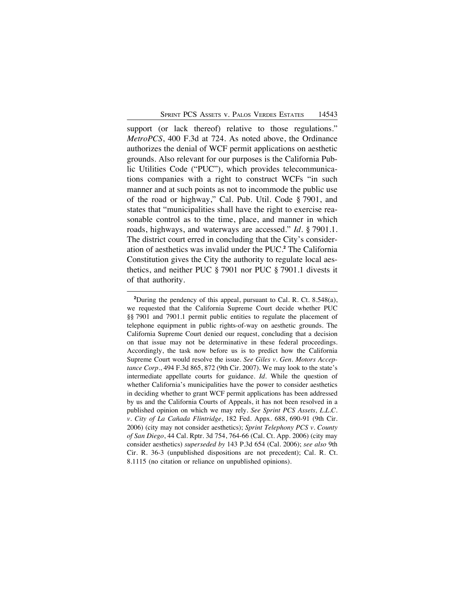support (or lack thereof) relative to those regulations." *MetroPCS*, 400 F.3d at 724. As noted above, the Ordinance authorizes the denial of WCF permit applications on aesthetic grounds. Also relevant for our purposes is the California Public Utilities Code ("PUC"), which provides telecommunications companies with a right to construct WCFs "in such manner and at such points as not to incommode the public use of the road or highway," Cal. Pub. Util. Code § 7901, and states that "municipalities shall have the right to exercise reasonable control as to the time, place, and manner in which roads, highways, and waterways are accessed." *Id*. § 7901.1. The district court erred in concluding that the City's consideration of aesthetics was invalid under the PUC.**<sup>2</sup>** The California Constitution gives the City the authority to regulate local aesthetics, and neither PUC § 7901 nor PUC § 7901.1 divests it of that authority.

<sup>&</sup>lt;sup>2</sup>During the pendency of this appeal, pursuant to Cal. R. Ct. 8.548(a), we requested that the California Supreme Court decide whether PUC §§ 7901 and 7901.1 permit public entities to regulate the placement of telephone equipment in public rights-of-way on aesthetic grounds. The California Supreme Court denied our request, concluding that a decision on that issue may not be determinative in these federal proceedings. Accordingly, the task now before us is to predict how the California Supreme Court would resolve the issue. *See Giles v. Gen. Motors Acceptance Corp*., 494 F.3d 865, 872 (9th Cir. 2007). We may look to the state's intermediate appellate courts for guidance. *Id.* While the question of whether California's municipalities have the power to consider aesthetics in deciding whether to grant WCF permit applications has been addressed by us and the California Courts of Appeals, it has not been resolved in a published opinion on which we may rely. *See Sprint PCS Assets, L.L.C. v. City of La Cañada Flintridge*, 182 Fed. Appx. 688, 690-91 (9th Cir. 2006) (city may not consider aesthetics); *Sprint Telephony PCS v. County of San Diego*, 44 Cal. Rptr. 3d 754, 764-66 (Cal. Ct. App. 2006) (city may consider aesthetics) *superseded by* 143 P.3d 654 (Cal. 2006); *see also* 9th Cir. R. 36-3 (unpublished dispositions are not precedent); Cal. R. Ct. 8.1115 (no citation or reliance on unpublished opinions).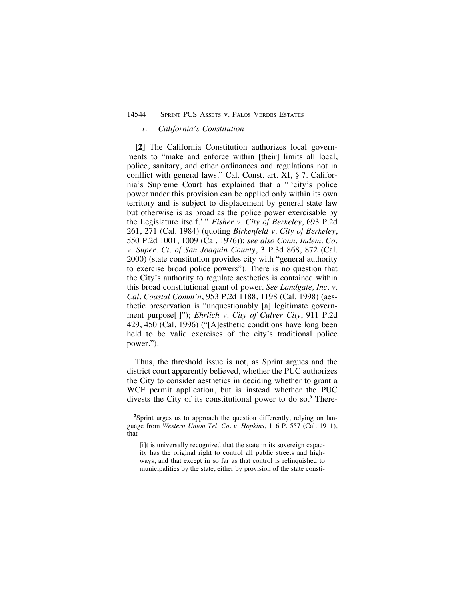#### *i. California's Constitution*

**[2]** The California Constitution authorizes local governments to "make and enforce within [their] limits all local, police, sanitary, and other ordinances and regulations not in conflict with general laws." Cal. Const. art. XI, § 7. California's Supreme Court has explained that a " 'city's police power under this provision can be applied only within its own territory and is subject to displacement by general state law but otherwise is as broad as the police power exercisable by the Legislature itself.' " *Fisher v. City of Berkeley*, 693 P.2d 261, 271 (Cal. 1984) (quoting *Birkenfeld v. City of Berkeley*, 550 P.2d 1001, 1009 (Cal. 1976)); *see also Conn. Indem. Co. v. Super. Ct. of San Joaquin County*, 3 P.3d 868, 872 (Cal. 2000) (state constitution provides city with "general authority to exercise broad police powers"). There is no question that the City's authority to regulate aesthetics is contained within this broad constitutional grant of power. *See Landgate, Inc. v. Cal. Coastal Comm'n*, 953 P.2d 1188, 1198 (Cal. 1998) (aesthetic preservation is "unquestionably [a] legitimate government purpose[ ]"); *Ehrlich v. City of Culver City*, 911 P.2d 429, 450 (Cal. 1996) ("[A]esthetic conditions have long been held to be valid exercises of the city's traditional police power.").

Thus, the threshold issue is not, as Sprint argues and the district court apparently believed, whether the PUC authorizes the City to consider aesthetics in deciding whether to grant a WCF permit application, but is instead whether the PUC divests the City of its constitutional power to do so.**<sup>3</sup>** There-

<sup>&</sup>lt;sup>3</sup>Sprint urges us to approach the question differently, relying on language from *Western Union Tel. Co. v. Hopkins*, 116 P. 557 (Cal. 1911), that

<sup>[</sup>i]t is universally recognized that the state in its sovereign capacity has the original right to control all public streets and highways, and that except in so far as that control is relinquished to municipalities by the state, either by provision of the state consti-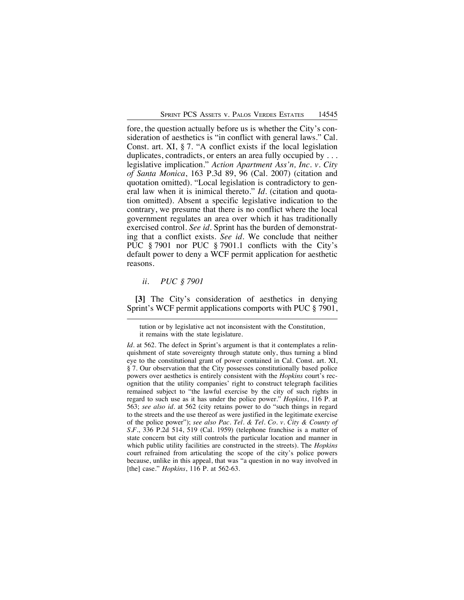fore, the question actually before us is whether the City's consideration of aesthetics is "in conflict with general laws." Cal. Const. art. XI, § 7. "A conflict exists if the local legislation duplicates, contradicts, or enters an area fully occupied by . . . legislative implication." *Action Apartment Ass'n, Inc. v. City of Santa Monica*, 163 P.3d 89, 96 (Cal. 2007) (citation and quotation omitted). "Local legislation is contradictory to general law when it is inimical thereto." *Id.* (citation and quotation omitted). Absent a specific legislative indication to the contrary, we presume that there is no conflict where the local government regulates an area over which it has traditionally exercised control. *See id.* Sprint has the burden of demonstrating that a conflict exists. *See id*. We conclude that neither PUC § 7901 nor PUC § 7901.1 conflicts with the City's default power to deny a WCF permit application for aesthetic reasons.

*ii. PUC § 7901*

**[3]** The City's consideration of aesthetics in denying Sprint's WCF permit applications comports with PUC § 7901,

tution or by legislative act not inconsistent with the Constitution, it remains with the state legislature.

*Id.* at 562. The defect in Sprint's argument is that it contemplates a relinquishment of state sovereignty through statute only, thus turning a blind eye to the constitutional grant of power contained in Cal. Const. art. XI, § 7. Our observation that the City possesses constitutionally based police powers over aesthetics is entirely consistent with the *Hopkins* court's recognition that the utility companies' right to construct telegraph facilities remained subject to "the lawful exercise by the city of such rights in regard to such use as it has under the police power." *Hopkins*, 116 P. at 563; *see also id.* at 562 (city retains power to do "such things in regard to the streets and the use thereof as were justified in the legitimate exercise of the police power"); *see also Pac. Tel. & Tel. Co. v. City & County of S.F.*, 336 P.2d 514, 519 (Cal. 1959) (telephone franchise is a matter of state concern but city still controls the particular location and manner in which public utility facilities are constructed in the streets). The *Hopkins* court refrained from articulating the scope of the city's police powers because, unlike in this appeal, that was "a question in no way involved in [the] case." *Hopkins*, 116 P. at 562-63.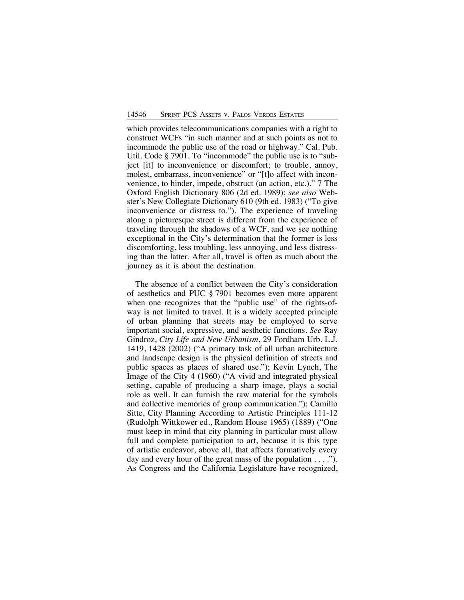which provides telecommunications companies with a right to construct WCFs "in such manner and at such points as not to incommode the public use of the road or highway." Cal. Pub. Util. Code § 7901. To "incommode" the public use is to "subject [it] to inconvenience or discomfort; to trouble, annoy, molest, embarrass, inconvenience" or "[t]o affect with inconvenience, to hinder, impede, obstruct (an action, etc.)." 7 The Oxford English Dictionary 806 (2d ed. 1989); *see also* Webster's New Collegiate Dictionary 610 (9th ed. 1983) ("To give inconvenience or distress to."). The experience of traveling along a picturesque street is different from the experience of traveling through the shadows of a WCF, and we see nothing exceptional in the City's determination that the former is less discomforting, less troubling, less annoying, and less distressing than the latter. After all, travel is often as much about the journey as it is about the destination.

The absence of a conflict between the City's consideration of aesthetics and PUC § 7901 becomes even more apparent when one recognizes that the "public use" of the rights-ofway is not limited to travel. It is a widely accepted principle of urban planning that streets may be employed to serve important social, expressive, and aesthetic functions. *See* Ray Gindroz, *City Life and New Urbanism*, 29 Fordham Urb. L.J. 1419, 1428 (2002) ("A primary task of all urban architecture and landscape design is the physical definition of streets and public spaces as places of shared use."); Kevin Lynch, The Image of the City 4 (1960) ("A vivid and integrated physical setting, capable of producing a sharp image, plays a social role as well. It can furnish the raw material for the symbols and collective memories of group communication."); Camillo Sitte, City Planning According to Artistic Principles 111-12 (Rudolph Wittkower ed., Random House 1965) (1889) ("One must keep in mind that city planning in particular must allow full and complete participation to art, because it is this type of artistic endeavor, above all, that affects formatively every day and every hour of the great mass of the population  $\dots$ ."). As Congress and the California Legislature have recognized,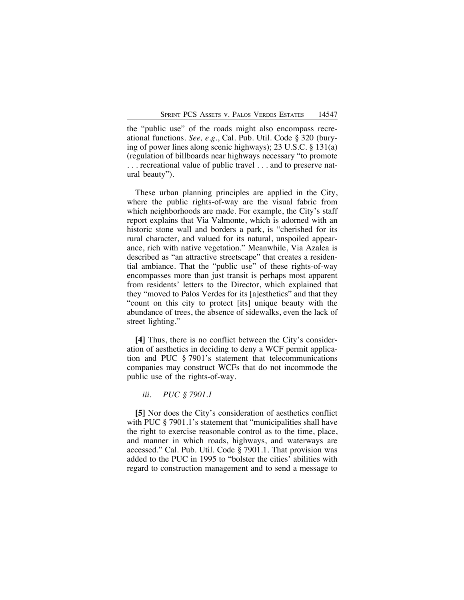the "public use" of the roads might also encompass recreational functions. *See, e.g.*, Cal. Pub. Util. Code § 320 (burying of power lines along scenic highways); 23 U.S.C. § 131(a) (regulation of billboards near highways necessary "to promote . . . recreational value of public travel . . . and to preserve natural beauty").

These urban planning principles are applied in the City, where the public rights-of-way are the visual fabric from which neighborhoods are made. For example, the City's staff report explains that Via Valmonte, which is adorned with an historic stone wall and borders a park, is "cherished for its rural character, and valued for its natural, unspoiled appearance, rich with native vegetation." Meanwhile, Via Azalea is described as "an attractive streetscape" that creates a residential ambiance. That the "public use" of these rights-of-way encompasses more than just transit is perhaps most apparent from residents' letters to the Director, which explained that they "moved to Palos Verdes for its [a]esthetics" and that they "count on this city to protect [its] unique beauty with the abundance of trees, the absence of sidewalks, even the lack of street lighting."

**[4]** Thus, there is no conflict between the City's consideration of aesthetics in deciding to deny a WCF permit application and PUC § 7901's statement that telecommunications companies may construct WCFs that do not incommode the public use of the rights-of-way.

*iii. PUC § 7901.1*

**[5]** Nor does the City's consideration of aesthetics conflict with PUC § 7901.1's statement that "municipalities shall have the right to exercise reasonable control as to the time, place, and manner in which roads, highways, and waterways are accessed." Cal. Pub. Util. Code § 7901.1. That provision was added to the PUC in 1995 to "bolster the cities' abilities with regard to construction management and to send a message to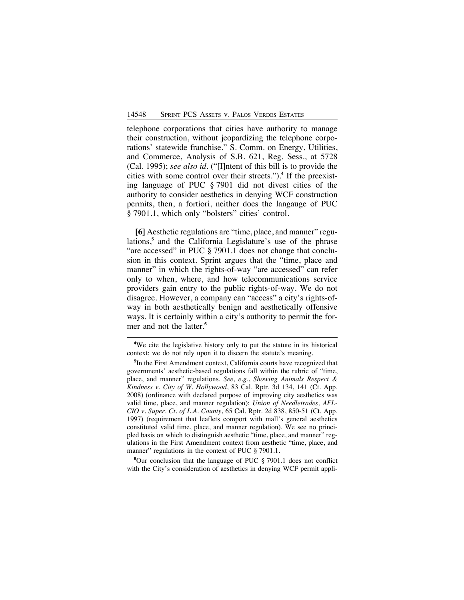telephone corporations that cities have authority to manage their construction, without jeopardizing the telephone corporations' statewide franchise." S. Comm. on Energy, Utilities, and Commerce, Analysis of S.B. 621, Reg. Sess., at 5728 (Cal. 1995); *see also id*. ("[I]ntent of this bill is to provide the cities with some control over their streets.").**<sup>4</sup>** If the preexisting language of PUC § 7901 did not divest cities of the authority to consider aesthetics in denying WCF construction permits, then, a fortiori, neither does the langauge of PUC § 7901.1, which only "bolsters" cities' control.

**[6]** Aesthetic regulations are "time, place, and manner" regulations,**<sup>5</sup>** and the California Legislature's use of the phrase "are accessed" in PUC § 7901.1 does not change that conclusion in this context. Sprint argues that the "time, place and manner" in which the rights-of-way "are accessed" can refer only to when, where, and how telecommunications service providers gain entry to the public rights-of-way. We do not disagree. However, a company can "access" a city's rights-ofway in both aesthetically benign and aesthetically offensive ways. It is certainly within a city's authority to permit the former and not the latter.**<sup>6</sup>**

**6** Our conclusion that the language of PUC § 7901.1 does not conflict with the City's consideration of aesthetics in denying WCF permit appli-

**<sup>4</sup>** We cite the legislative history only to put the statute in its historical context; we do not rely upon it to discern the statute's meaning.

**<sup>5</sup>** In the First Amendment context, California courts have recognized that governments' aesthetic-based regulations fall within the rubric of "time, place, and manner" regulations. *See, e.g.*, *Showing Animals Respect & Kindness v. City of W. Hollywood*, 83 Cal. Rptr. 3d 134, 141 (Ct. App. 2008) (ordinance with declared purpose of improving city aesthetics was valid time, place, and manner regulation); *Union of Needletrades, AFL-CIO v. Super. Ct. of L.A. County*, 65 Cal. Rptr. 2d 838, 850-51 (Ct. App. 1997) (requirement that leaflets comport with mall's general aesthetics constituted valid time, place, and manner regulation). We see no principled basis on which to distinguish aesthetic "time, place, and manner" regulations in the First Amendment context from aesthetic "time, place, and manner" regulations in the context of PUC § 7901.1.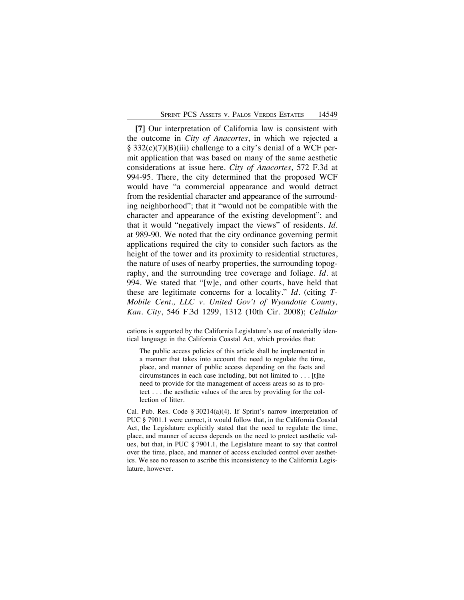**[7]** Our interpretation of California law is consistent with the outcome in *City of Anacortes*, in which we rejected a § 332(c)(7)(B)(iii) challenge to a city's denial of a WCF permit application that was based on many of the same aesthetic considerations at issue here. *City of Anacortes*, 572 F.3d at 994-95. There, the city determined that the proposed WCF would have "a commercial appearance and would detract from the residential character and appearance of the surrounding neighborhood"; that it "would not be compatible with the character and appearance of the existing development"; and that it would "negatively impact the views" of residents. *Id.* at 989-90. We noted that the city ordinance governing permit applications required the city to consider such factors as the height of the tower and its proximity to residential structures, the nature of uses of nearby properties, the surrounding topography, and the surrounding tree coverage and foliage. *Id*. at 994. We stated that "[w]e, and other courts, have held that these are legitimate concerns for a locality." *Id.* (citing *T-Mobile Cent., LLC v. United Gov't of Wyandotte County, Kan. City*, 546 F.3d 1299, 1312 (10th Cir. 2008); *Cellular*

cations is supported by the California Legislature's use of materially identical language in the California Coastal Act, which provides that:

The public access policies of this article shall be implemented in a manner that takes into account the need to regulate the time, place, and manner of public access depending on the facts and circumstances in each case including, but not limited to . . . [t]he need to provide for the management of access areas so as to protect . . . the aesthetic values of the area by providing for the collection of litter.

Cal. Pub. Res. Code § 30214(a)(4). If Sprint's narrow interpretation of PUC § 7901.1 were correct, it would follow that, in the California Coastal Act, the Legislature explicitly stated that the need to regulate the time, place, and manner of access depends on the need to protect aesthetic values, but that, in PUC § 7901.1, the Legislature meant to say that control over the time, place, and manner of access excluded control over aesthetics. We see no reason to ascribe this inconsistency to the California Legislature, however.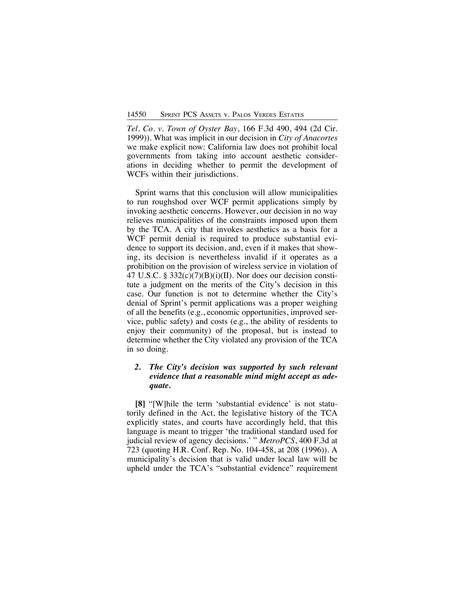*Tel. Co. v. Town of Oyster Bay*, 166 F.3d 490, 494 (2d Cir. 1999)). What was implicit in our decision in *City of Anacortes* we make explicit now: California law does not prohibit local governments from taking into account aesthetic considerations in deciding whether to permit the development of WCFs within their jurisdictions.

Sprint warns that this conclusion will allow municipalities to run roughshod over WCF permit applications simply by invoking aesthetic concerns. However, our decision in no way relieves municipalities of the constraints imposed upon them by the TCA. A city that invokes aesthetics as a basis for a WCF permit denial is required to produce substantial evidence to support its decision, and, even if it makes that showing, its decision is nevertheless invalid if it operates as a prohibition on the provision of wireless service in violation of 47 U.S.C. §  $332(c)(7)(B)(i)(II)$ . Nor does our decision constitute a judgment on the merits of the City's decision in this case. Our function is not to determine whether the City's denial of Sprint's permit applications was a proper weighing of all the benefits (e.g., economic opportunities, improved service, public safety) and costs (e.g., the ability of residents to enjoy their community) of the proposal, but is instead to determine whether the City violated any provision of the TCA in so doing.

# *2. The City's decision was supported by such relevant evidence that a reasonable mind might accept as adequate.*

**[8]** "[W]hile the term 'substantial evidence' is not statutorily defined in the Act, the legislative history of the TCA explicitly states, and courts have accordingly held, that this language is meant to trigger 'the traditional standard used for judicial review of agency decisions.' " *MetroPCS*, 400 F.3d at 723 (quoting H.R. Conf. Rep. No. 104-458, at 208 (1996)). A municipality's decision that is valid under local law will be upheld under the TCA's "substantial evidence" requirement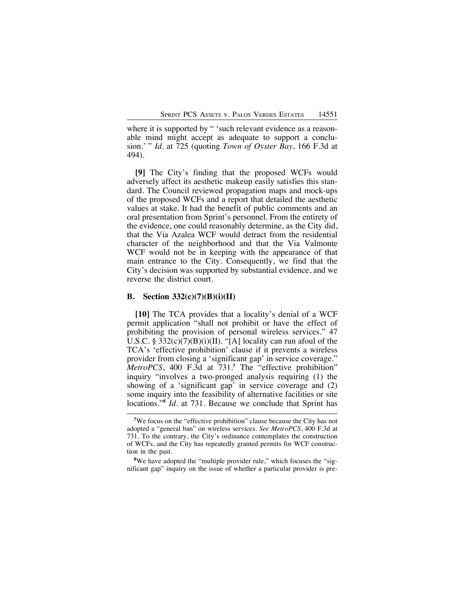where it is supported by " 'such relevant evidence as a reasonable mind might accept as adequate to support a conclusion.' " *Id*. at 725 (quoting *Town of Oyster Bay*, 166 F.3d at 494).

**[9]** The City's finding that the proposed WCFs would adversely affect its aesthetic makeup easily satisfies this standard. The Council reviewed propagation maps and mock-ups of the proposed WCFs and a report that detailed the aesthetic values at stake. It had the benefit of public comments and an oral presentation from Sprint's personnel. From the entirety of the evidence, one could reasonably determine, as the City did, that the Via Azalea WCF would detract from the residential character of the neighborhood and that the Via Valmonte WCF would not be in keeping with the appearance of that main entrance to the City. Consequently, we find that the City's decision was supported by substantial evidence, and we reverse the district court.

#### **B. Section 332(c)(7)(B)(i)(II)**

**[10]** The TCA provides that a locality's denial of a WCF permit application "shall not prohibit or have the effect of prohibiting the provision of personal wireless services." 47 U.S.C. §  $332(c)(7)(B)(i)(II)$ . "[A] locality can run afoul of the TCA's 'effective prohibition' clause if it prevents a wireless provider from closing a 'significant gap' in service coverage." *MetroPCS*, 400 F.3d at 731.**<sup>7</sup>** The "effective prohibition" inquiry "involves a two-pronged analysis requiring (1) the showing of a 'significant gap' in service coverage and (2) some inquiry into the feasibility of alternative facilities or site locations."**<sup>8</sup>** *Id*. at 731. Because we conclude that Sprint has

<sup>&</sup>lt;sup>7</sup>We focus on the "effective prohibition" clause because the City has not adopted a "general ban" on wireless services. *See MetroPCS*, 400 F.3d at 731. To the contrary, the City's ordinance contemplates the construction of WCFs, and the City has repeatedly granted permits for WCF construction in the past.

<sup>&</sup>lt;sup>8</sup>We have adopted the "multiple provider rule," which focuses the "significant gap" inquiry on the issue of whether a particular provider is pre-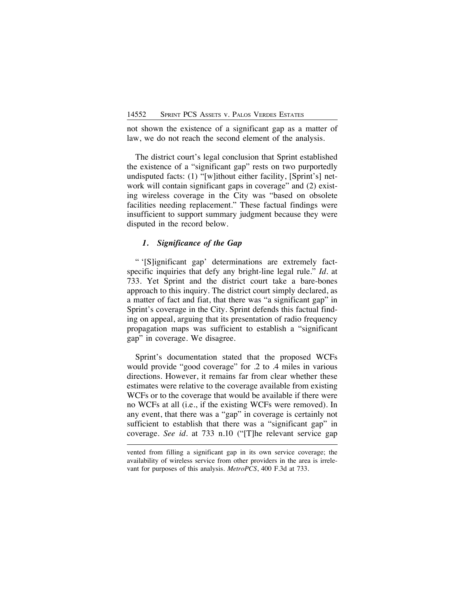not shown the existence of a significant gap as a matter of law, we do not reach the second element of the analysis.

The district court's legal conclusion that Sprint established the existence of a "significant gap" rests on two purportedly undisputed facts: (1) "[w]ithout either facility, [Sprint's] network will contain significant gaps in coverage" and (2) existing wireless coverage in the City was "based on obsolete facilities needing replacement." These factual findings were insufficient to support summary judgment because they were disputed in the record below.

### *1. Significance of the Gap*

" '[S]ignificant gap' determinations are extremely factspecific inquiries that defy any bright-line legal rule." *Id.* at 733. Yet Sprint and the district court take a bare-bones approach to this inquiry. The district court simply declared, as a matter of fact and fiat, that there was "a significant gap" in Sprint's coverage in the City. Sprint defends this factual finding on appeal, arguing that its presentation of radio frequency propagation maps was sufficient to establish a "significant gap" in coverage. We disagree.

Sprint's documentation stated that the proposed WCFs would provide "good coverage" for .2 to .4 miles in various directions. However, it remains far from clear whether these estimates were relative to the coverage available from existing WCFs or to the coverage that would be available if there were no WCFs at all (i.e., if the existing WCFs were removed). In any event, that there was a "gap" in coverage is certainly not sufficient to establish that there was a "significant gap" in coverage. *See id.* at 733 n.10 ("[T]he relevant service gap

vented from filling a significant gap in its own service coverage; the availability of wireless service from other providers in the area is irrelevant for purposes of this analysis. *MetroPCS*, 400 F.3d at 733.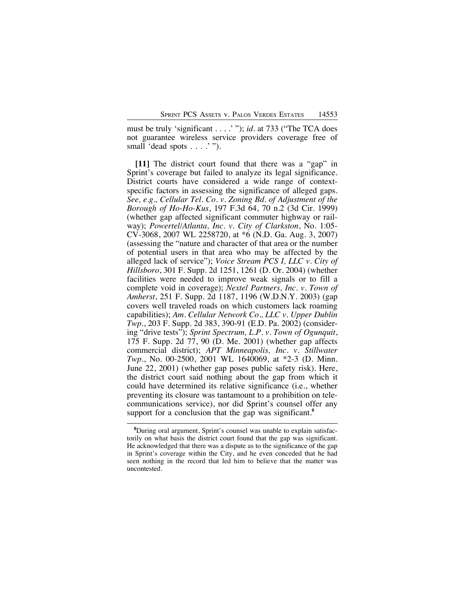must be truly 'significant . . . .' "); *id.* at 733 ("The TCA does not guarantee wireless service providers coverage free of small 'dead spots . . . .'").

**[11]** The district court found that there was a "gap" in Sprint's coverage but failed to analyze its legal significance. District courts have considered a wide range of contextspecific factors in assessing the significance of alleged gaps. *See, e.g., Cellular Tel. Co. v. Zoning Bd. of Adjustment of the Borough of Ho-Ho-Kus*, 197 F.3d 64, 70 n.2 (3d Cir. 1999) (whether gap affected significant commuter highway or railway); *Powertel/Atlanta, Inc. v. City of Clarkston*, No. 1:05- CV-3068, 2007 WL 2258720, at \*6 (N.D. Ga. Aug. 3, 2007) (assessing the "nature and character of that area or the number of potential users in that area who may be affected by the alleged lack of service"); *Voice Stream PCS I, LLC v. City of Hillsboro*, 301 F. Supp. 2d 1251, 1261 (D. Or. 2004) (whether facilities were needed to improve weak signals or to fill a complete void in coverage); *Nextel Partners, Inc. v. Town of Amherst*, 251 F. Supp. 2d 1187, 1196 (W.D.N.Y. 2003) (gap covers well traveled roads on which customers lack roaming capabilities); *Am. Cellular Network Co., LLC v. Upper Dublin Twp.*, 203 F. Supp. 2d 383, 390-91 (E.D. Pa. 2002) (considering "drive tests"); *Sprint Spectrum, L.P. v. Town of Ogunquit*, 175 F. Supp. 2d 77, 90 (D. Me. 2001) (whether gap affects commercial district); *APT Minneapolis, Inc. v. Stillwater Twp.*, No. 00-2500, 2001 WL 1640069, at \*2-3 (D. Minn. June 22, 2001) (whether gap poses public safety risk). Here, the district court said nothing about the gap from which it could have determined its relative significance (i.e., whether preventing its closure was tantamount to a prohibition on telecommunications service), nor did Sprint's counsel offer any support for a conclusion that the gap was significant.**<sup>9</sup>**

**<sup>9</sup>** During oral argument, Sprint's counsel was unable to explain satisfactorily on what basis the district court found that the gap was significant. He acknowledged that there was a dispute as to the significance of the gap in Sprint's coverage within the City, and he even conceded that he had seen nothing in the record that led him to believe that the matter was uncontested.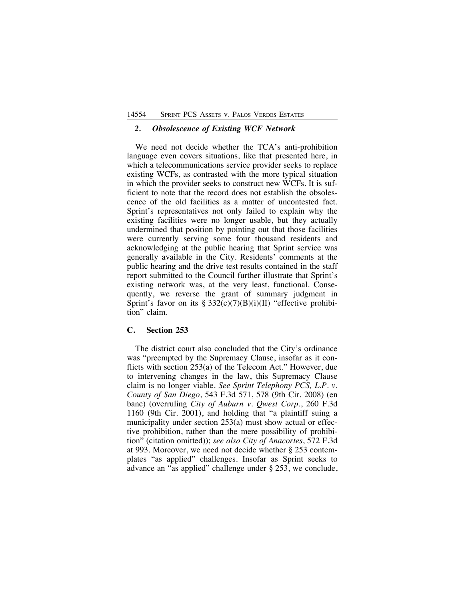## *2. Obsolescence of Existing WCF Network*

We need not decide whether the TCA's anti-prohibition language even covers situations, like that presented here, in which a telecommunications service provider seeks to replace existing WCFs, as contrasted with the more typical situation in which the provider seeks to construct new WCFs. It is sufficient to note that the record does not establish the obsolescence of the old facilities as a matter of uncontested fact. Sprint's representatives not only failed to explain why the existing facilities were no longer usable, but they actually undermined that position by pointing out that those facilities were currently serving some four thousand residents and acknowledging at the public hearing that Sprint service was generally available in the City. Residents' comments at the public hearing and the drive test results contained in the staff report submitted to the Council further illustrate that Sprint's existing network was, at the very least, functional. Consequently, we reverse the grant of summary judgment in Sprint's favor on its  $\S 332(c)(7)(B)(i)(II)$  "effective prohibition" claim.

### **C. Section 253**

The district court also concluded that the City's ordinance was "preempted by the Supremacy Clause, insofar as it conflicts with section 253(a) of the Telecom Act." However, due to intervening changes in the law, this Supremacy Clause claim is no longer viable. *See Sprint Telephony PCS, L.P. v. County of San Diego*, 543 F.3d 571, 578 (9th Cir. 2008) (en banc) (overruling *City of Auburn v. Qwest Corp.*, 260 F.3d 1160 (9th Cir. 2001), and holding that "a plaintiff suing a municipality under section 253(a) must show actual or effective prohibition, rather than the mere possibility of prohibition" (citation omitted)); *see also City of Anacortes*, 572 F.3d at 993. Moreover, we need not decide whether § 253 contemplates "as applied" challenges. Insofar as Sprint seeks to advance an "as applied" challenge under § 253, we conclude,